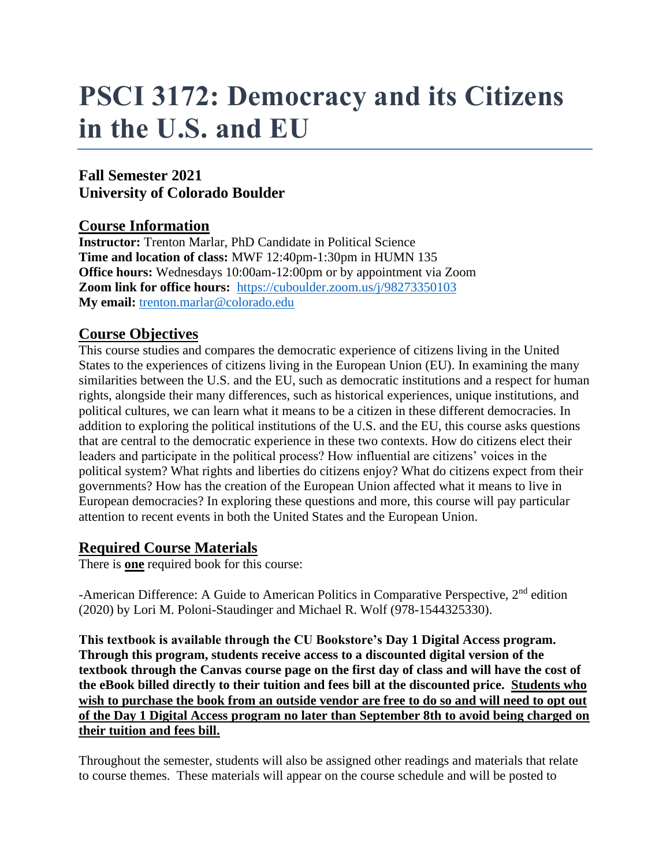# **PSCI 3172: Democracy and its Citizens in the U.S. and EU**

## **Fall Semester 2021 University of Colorado Boulder**

## **Course Information**

**Instructor:** Trenton Marlar, PhD Candidate in Political Science **Time and location of class:** MWF 12:40pm-1:30pm in HUMN 135 **Office hours:** Wednesdays 10:00am-12:00pm or by appointment via Zoom **Zoom link for office hours:** <https://cuboulder.zoom.us/j/98273350103> **My email:** [trenton.marlar@colorado.edu](mailto:trenton.marlar@colorado.edu)

## **Course Objectives**

This course studies and compares the democratic experience of citizens living in the United States to the experiences of citizens living in the European Union (EU). In examining the many similarities between the U.S. and the EU, such as democratic institutions and a respect for human rights, alongside their many differences, such as historical experiences, unique institutions, and political cultures, we can learn what it means to be a citizen in these different democracies. In addition to exploring the political institutions of the U.S. and the EU, this course asks questions that are central to the democratic experience in these two contexts. How do citizens elect their leaders and participate in the political process? How influential are citizens' voices in the political system? What rights and liberties do citizens enjoy? What do citizens expect from their governments? How has the creation of the European Union affected what it means to live in European democracies? In exploring these questions and more, this course will pay particular attention to recent events in both the United States and the European Union.

#### **Required Course Materials**

There is **one** required book for this course:

-American Difference: A Guide to American Politics in Comparative Perspective,  $2<sup>nd</sup>$  edition (2020) by Lori M. Poloni-Staudinger and Michael R. Wolf (978-1544325330).

**This textbook is available through the CU Bookstore's Day 1 Digital Access program. Through this program, students receive access to a discounted digital version of the textbook through the Canvas course page on the first day of class and will have the cost of the eBook billed directly to their tuition and fees bill at the discounted price. Students who wish to purchase the book from an outside vendor are free to do so and will need to opt out of the Day 1 Digital Access program no later than September 8th to avoid being charged on their tuition and fees bill.** 

Throughout the semester, students will also be assigned other readings and materials that relate to course themes. These materials will appear on the course schedule and will be posted to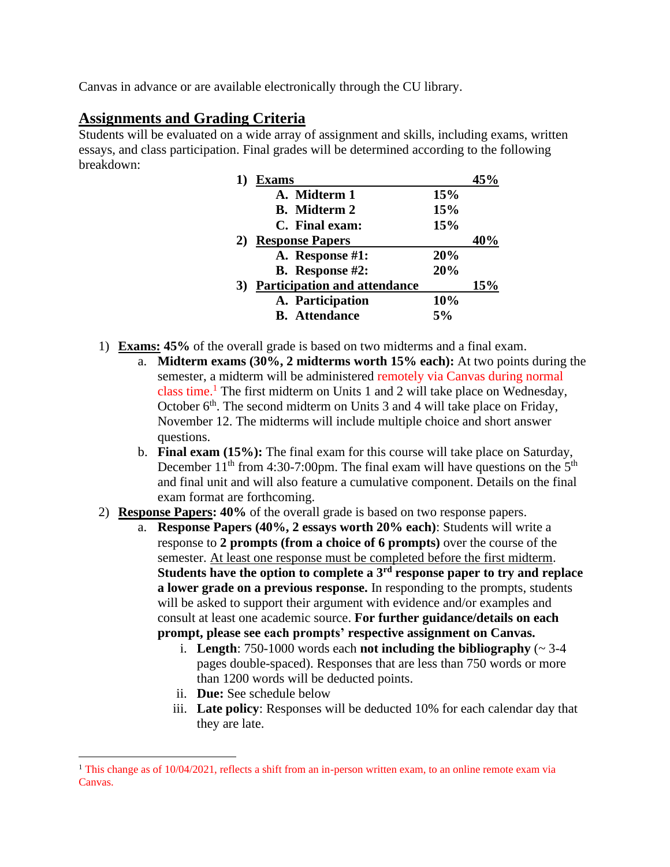Canvas in advance or are available electronically through the CU library.

## **Assignments and Grading Criteria**

Students will be evaluated on a wide array of assignment and skills, including exams, written essays, and class participation. Final grades will be determined according to the following breakdown:

| Exams                                     |            |     |
|-------------------------------------------|------------|-----|
| A. Midterm 1                              | 15%        |     |
| <b>B.</b> Midterm 2                       | 15%        |     |
| C. Final exam:                            | <b>15%</b> |     |
| 2) Response Papers                        |            |     |
| A. Response #1:                           | 20%        |     |
| <b>B.</b> Response #2:                    | 20%        |     |
| <b>Participation and attendance</b><br>3) |            | 15% |
| A. Participation                          | 10%        |     |
| <b>B.</b> Attendance                      | 5%         |     |

- 1) **Exams: 45%** of the overall grade is based on two midterms and a final exam.
	- a. **Midterm exams (30%, 2 midterms worth 15% each):** At two points during the semester, a midterm will be administered remotely via Canvas during normal class time.<sup>1</sup> The first midterm on Units 1 and 2 will take place on Wednesday, October  $6<sup>th</sup>$ . The second midterm on Units 3 and 4 will take place on Friday, November 12. The midterms will include multiple choice and short answer questions.
	- b. **Final exam (15%):** The final exam for this course will take place on Saturday, December  $11<sup>th</sup>$  from 4:30-7:00pm. The final exam will have questions on the  $5<sup>th</sup>$ and final unit and will also feature a cumulative component. Details on the final exam format are forthcoming.
- 2) **Response Papers: 40%** of the overall grade is based on two response papers.
	- a. **Response Papers (40%, 2 essays worth 20% each)**: Students will write a response to **2 prompts (from a choice of 6 prompts)** over the course of the semester. At least one response must be completed before the first midterm. **Students have the option to complete a 3rd response paper to try and replace a lower grade on a previous response.** In responding to the prompts, students will be asked to support their argument with evidence and/or examples and consult at least one academic source. **For further guidance/details on each prompt, please see each prompts' respective assignment on Canvas.**
		- i. **Length**: 750-1000 words each **not including the bibliography**  $(-3-4)$ pages double-spaced). Responses that are less than 750 words or more than 1200 words will be deducted points.
		- ii. **Due:** See schedule below
		- iii. **Late policy**: Responses will be deducted 10% for each calendar day that they are late.

<sup>&</sup>lt;sup>1</sup> This change as of 10/04/2021, reflects a shift from an in-person written exam, to an online remote exam via Canvas.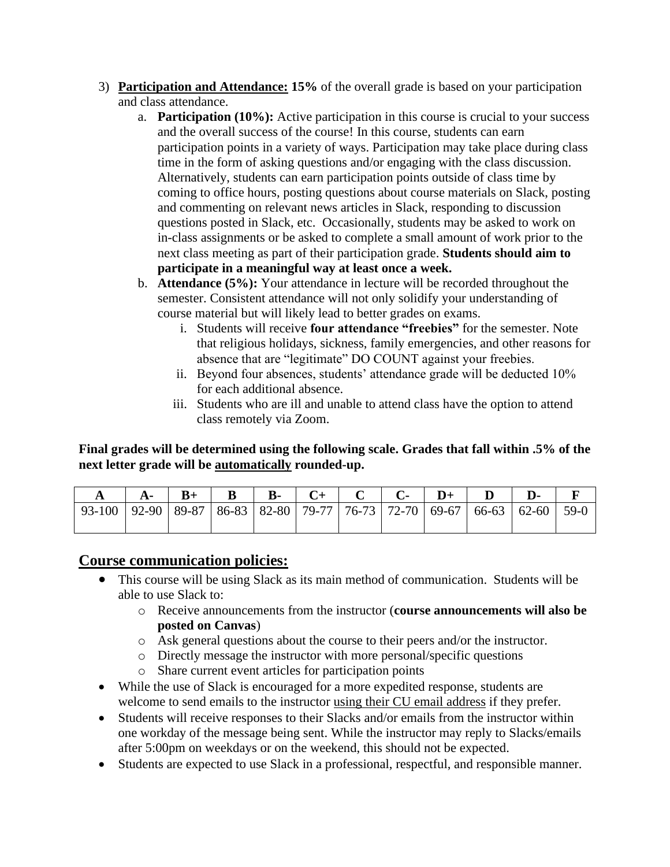- 3) **Participation and Attendance: 15%** of the overall grade is based on your participation and class attendance.
	- a. **Participation (10%):** Active participation in this course is crucial to your success and the overall success of the course! In this course, students can earn participation points in a variety of ways. Participation may take place during class time in the form of asking questions and/or engaging with the class discussion. Alternatively, students can earn participation points outside of class time by coming to office hours, posting questions about course materials on Slack, posting and commenting on relevant news articles in Slack, responding to discussion questions posted in Slack, etc. Occasionally, students may be asked to work on in-class assignments or be asked to complete a small amount of work prior to the next class meeting as part of their participation grade. **Students should aim to participate in a meaningful way at least once a week.**
	- b. **Attendance (5%):** Your attendance in lecture will be recorded throughout the semester. Consistent attendance will not only solidify your understanding of course material but will likely lead to better grades on exams.
		- i. Students will receive **four attendance "freebies"** for the semester. Note that religious holidays, sickness, family emergencies, and other reasons for absence that are "legitimate" DO COUNT against your freebies.
		- ii. Beyond four absences, students' attendance grade will be deducted 10% for each additional absence.
		- iii. Students who are ill and unable to attend class have the option to attend class remotely via Zoom.

#### **Final grades will be determined using the following scale. Grades that fall within .5% of the next letter grade will be automatically rounded-up.**

|                                                                                               |  |  |  |  | $A \mid A - \mid B + \mid B \mid B - \mid C + \mid C \mid C - \mid D + \mid D \mid D - \mid F$ |  |
|-----------------------------------------------------------------------------------------------|--|--|--|--|------------------------------------------------------------------------------------------------|--|
| 93-100   92-90   89-87   86-83   82-80   79-77   76-73   72-70   69-67   66-63   62-60   59-0 |  |  |  |  |                                                                                                |  |

#### **Course communication policies:**

- This course will be using Slack as its main method of communication. Students will be able to use Slack to:
	- o Receive announcements from the instructor (**course announcements will also be posted on Canvas**)
	- o Ask general questions about the course to their peers and/or the instructor.
	- o Directly message the instructor with more personal/specific questions
	- o Share current event articles for participation points
- While the use of Slack is encouraged for a more expedited response, students are welcome to send emails to the instructor using their CU email address if they prefer.
- Students will receive responses to their Slacks and/or emails from the instructor within one workday of the message being sent. While the instructor may reply to Slacks/emails after 5:00pm on weekdays or on the weekend, this should not be expected.
- Students are expected to use Slack in a professional, respectful, and responsible manner.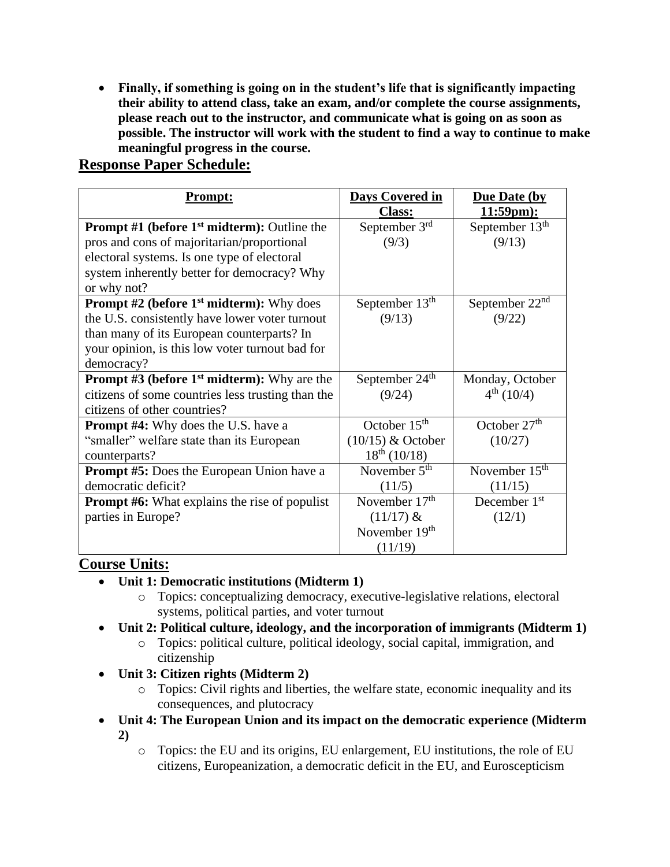• **Finally, if something is going on in the student's life that is significantly impacting their ability to attend class, take an exam, and/or complete the course assignments, please reach out to the instructor, and communicate what is going on as soon as possible. The instructor will work with the student to find a way to continue to make meaningful progress in the course.**

| <b>Prompt:</b>                                       | <b>Days Covered in</b><br><b>Class:</b> | <b>Due Date (by</b><br>$11:59pm$ : |
|------------------------------------------------------|-----------------------------------------|------------------------------------|
| <b>Prompt</b> #1 (before $1st$ midterm): Outline the | September 3rd                           | September $13th$                   |
| pros and cons of majoritarian/proportional           | (9/3)                                   | (9/13)                             |
| electoral systems. Is one type of electoral          |                                         |                                    |
| system inherently better for democracy? Why          |                                         |                                    |
| or why not?                                          |                                         |                                    |
| <b>Prompt #2 (before 1st midterm):</b> Why does      | September 13 <sup>th</sup>              | September $22nd$                   |
| the U.S. consistently have lower voter turnout       | (9/13)                                  | (9/22)                             |
| than many of its European counterparts? In           |                                         |                                    |
| your opinion, is this low voter turnout bad for      |                                         |                                    |
| democracy?                                           |                                         |                                    |
| <b>Prompt #3 (before 1st midterm):</b> Why are the   | September 24 <sup>th</sup>              | Monday, October                    |
| citizens of some countries less trusting than the    | (9/24)                                  | $4^{th}$ (10/4)                    |
| citizens of other countries?                         |                                         |                                    |
| <b>Prompt #4:</b> Why does the U.S. have a           | October $15th$                          | October $27th$                     |
| "smaller" welfare state than its European            | $(10/15)$ & October                     | (10/27)                            |
| counterparts?                                        | $18^{th}$ (10/18)                       |                                    |
| <b>Prompt #5:</b> Does the European Union have a     | November $5th$                          | November $15th$                    |
| democratic deficit?                                  | (11/5)                                  | (11/15)                            |
| <b>Prompt #6:</b> What explains the rise of populist | November 17 <sup>th</sup>               | December 1 <sup>st</sup>           |
| parties in Europe?                                   | $(11/17)$ &                             | (12/1)                             |
|                                                      | November 19th                           |                                    |
|                                                      | (11/19)                                 |                                    |

## **Course Units:**

- **Unit 1: Democratic institutions (Midterm 1)**
	- o Topics: conceptualizing democracy, executive-legislative relations, electoral systems, political parties, and voter turnout
- **Unit 2: Political culture, ideology, and the incorporation of immigrants (Midterm 1)**
	- o Topics: political culture, political ideology, social capital, immigration, and citizenship
- **Unit 3: Citizen rights (Midterm 2)**
	- o Topics: Civil rights and liberties, the welfare state, economic inequality and its consequences, and plutocracy
- **Unit 4: The European Union and its impact on the democratic experience (Midterm 2)**
	- o Topics: the EU and its origins, EU enlargement, EU institutions, the role of EU citizens, Europeanization, a democratic deficit in the EU, and Euroscepticism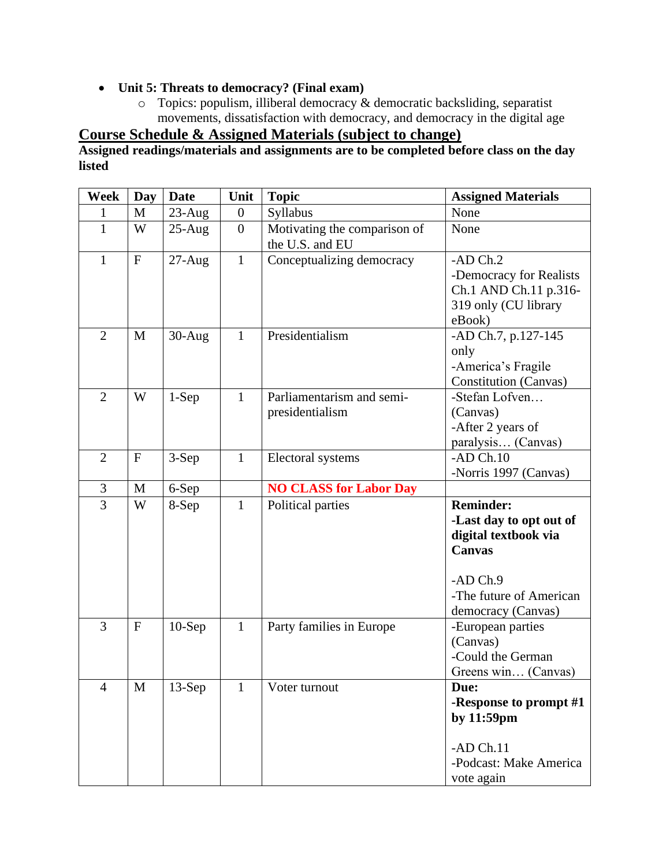### • **Unit 5: Threats to democracy? (Final exam)**

 $\circ$  Topics: populism, illiberal democracy & democratic backsliding, separatist movements, dissatisfaction with democracy, and democracy in the digital age

**Course Schedule & Assigned Materials (subject to change)**

**Assigned readings/materials and assignments are to be completed before class on the day listed**

| Week           | <b>Day</b>   | <b>Date</b> | Unit             | <b>Topic</b>                                    | <b>Assigned Materials</b>                                                                                                                         |
|----------------|--------------|-------------|------------------|-------------------------------------------------|---------------------------------------------------------------------------------------------------------------------------------------------------|
| 1              | M            | $23$ -Aug   | $\boldsymbol{0}$ | Syllabus                                        | None                                                                                                                                              |
| $\mathbf{1}$   | W            | $25-Aug$    | $\overline{0}$   | Motivating the comparison of<br>the U.S. and EU | None                                                                                                                                              |
| $\mathbf{1}$   | $\mathbf{F}$ | $27-Aug$    | $\mathbf{1}$     | Conceptualizing democracy                       | $-ADCh.2$<br>-Democracy for Realists<br>Ch.1 AND Ch.11 p.316-<br>319 only (CU library<br>eBook)                                                   |
| $\overline{2}$ | M            | $30-Aug$    | $\mathbf{1}$     | Presidentialism                                 | -AD Ch.7, p.127-145<br>only<br>-America's Fragile<br><b>Constitution (Canvas)</b>                                                                 |
| $\overline{2}$ | W            | $1-Sep$     | $\mathbf{1}$     | Parliamentarism and semi-<br>presidentialism    | -Stefan Lofven<br>(Canvas)<br>-After 2 years of<br>paralysis (Canvas)                                                                             |
| $\overline{2}$ | $\mathbf{F}$ | 3-Sep       | $\mathbf{1}$     | Electoral systems                               | $-AD Ch.10$<br>-Norris 1997 (Canvas)                                                                                                              |
| 3              | M            | 6-Sep       |                  | <b>NO CLASS for Labor Day</b>                   |                                                                                                                                                   |
| $\overline{3}$ | W            | 8-Sep       | $\mathbf{1}$     | Political parties                               | <b>Reminder:</b><br>-Last day to opt out of<br>digital textbook via<br><b>Canvas</b><br>-AD Ch.9<br>-The future of American<br>democracy (Canvas) |
| 3              | $\mathbf{F}$ | $10-$ Sep   | $\mathbf{1}$     | Party families in Europe                        | -European parties<br>(Canvas)<br>-Could the German<br>Greens win (Canvas)                                                                         |
| $\overline{4}$ | M            | $13-Sep$    | 1                | Voter turnout                                   | Due:<br>-Response to prompt #1<br>by 11:59pm<br>$-AD Ch.11$<br>-Podcast: Make America<br>vote again                                               |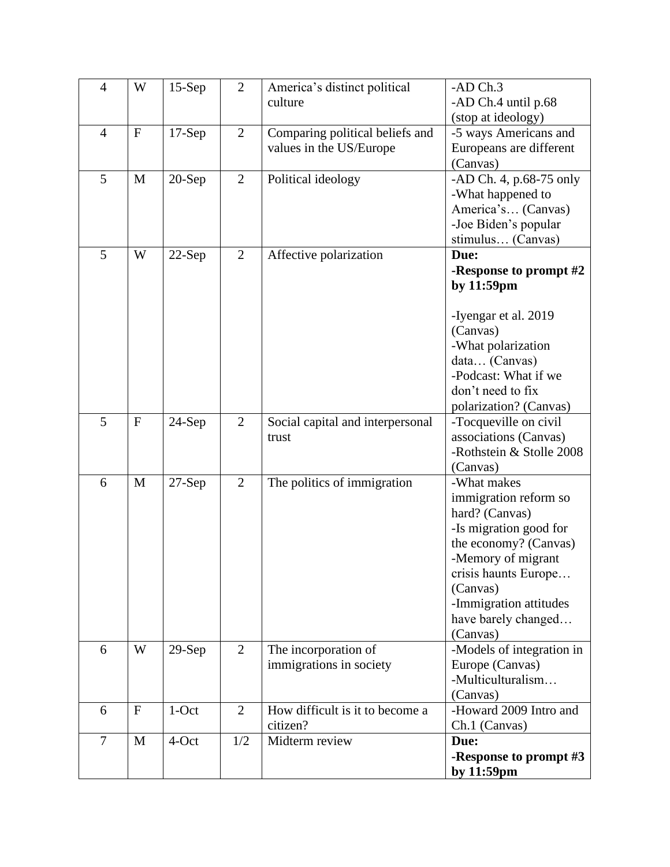| $\overline{4}$ | W         | $15-Sep$ | $\overline{2}$ | America's distinct political<br>culture | -AD Ch.3<br>-AD Ch.4 until p.68                   |
|----------------|-----------|----------|----------------|-----------------------------------------|---------------------------------------------------|
|                |           |          |                |                                         | (stop at ideology)                                |
| $\overline{4}$ | ${\bf F}$ | $17-Sep$ | $\overline{2}$ | Comparing political beliefs and         | -5 ways Americans and                             |
|                |           |          |                | values in the US/Europe                 | Europeans are different                           |
|                |           |          |                |                                         | (Canvas)                                          |
| 5              | M         | $20-Sep$ | $\overline{2}$ | Political ideology                      | -AD Ch. 4, p.68-75 only                           |
|                |           |          |                |                                         | -What happened to                                 |
|                |           |          |                |                                         | America's (Canvas)                                |
|                |           |          |                |                                         | -Joe Biden's popular                              |
| 5              | W         |          | $\overline{2}$ |                                         | stimulus (Canvas)<br>Due:                         |
|                |           | $22-Sep$ |                | Affective polarization                  | -Response to prompt #2                            |
|                |           |          |                |                                         | by 11:59pm                                        |
|                |           |          |                |                                         |                                                   |
|                |           |          |                |                                         | -Iyengar et al. 2019                              |
|                |           |          |                |                                         | (Canvas)                                          |
|                |           |          |                |                                         | -What polarization                                |
|                |           |          |                |                                         | data (Canvas)                                     |
|                |           |          |                |                                         | -Podcast: What if we                              |
|                |           |          |                |                                         | don't need to fix                                 |
|                |           |          |                |                                         | polarization? (Canvas)                            |
| 5              | ${\bf F}$ | $24-Sep$ | $\overline{2}$ | Social capital and interpersonal        | -Tocqueville on civil                             |
|                |           |          |                | trust                                   | associations (Canvas)<br>-Rothstein & Stolle 2008 |
|                |           |          |                |                                         | (Canvas)                                          |
| 6              | M         | $27-Sep$ | $\overline{2}$ | The politics of immigration             | -What makes                                       |
|                |           |          |                |                                         | immigration reform so                             |
|                |           |          |                |                                         | hard? (Canvas)                                    |
|                |           |          |                |                                         | -Is migration good for                            |
|                |           |          |                |                                         | the economy? (Canvas)                             |
|                |           |          |                |                                         | -Memory of migrant                                |
|                |           |          |                |                                         | crisis haunts Europe                              |
|                |           |          |                |                                         | (Canvas)                                          |
|                |           |          |                |                                         | -Immigration attitudes                            |
|                |           |          |                |                                         | have barely changed                               |
| 6              | W         | $29-Sep$ | $\overline{2}$ | The incorporation of                    | (Canvas)<br>-Models of integration in             |
|                |           |          |                | immigrations in society                 | Europe (Canvas)                                   |
|                |           |          |                |                                         | -Multiculturalism                                 |
|                |           |          |                |                                         | (Canvas)                                          |
| 6              | ${\bf F}$ | $1$ -Oct | 2              | How difficult is it to become a         | -Howard 2009 Intro and                            |
|                |           |          |                | citizen?                                | Ch.1 (Canvas)                                     |
| $\overline{7}$ | M         | 4-Oct    | 1/2            | Midterm review                          | Due:                                              |
|                |           |          |                |                                         | -Response to prompt #3                            |
|                |           |          |                |                                         | by 11:59pm                                        |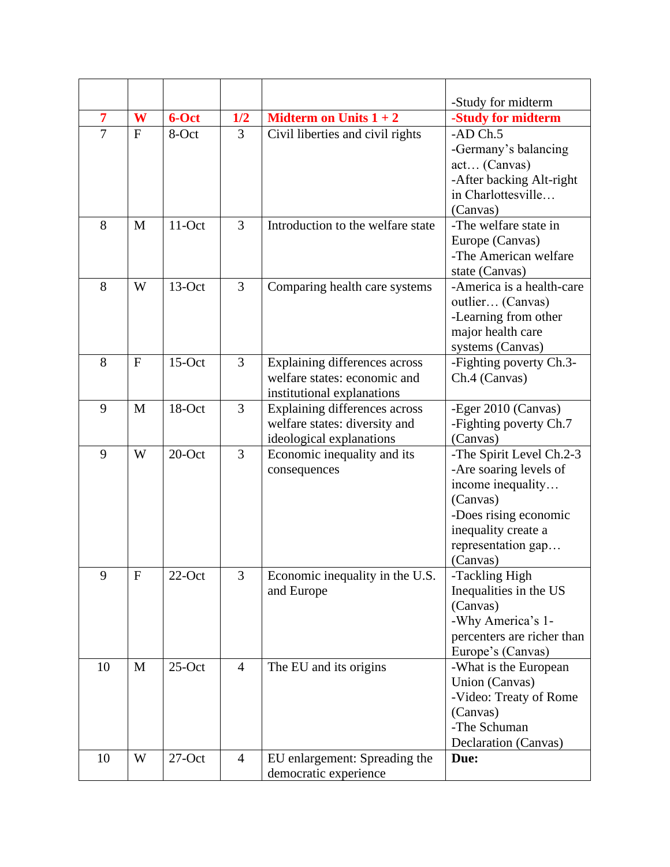| $\overline{7}$ | W            | 6-Oct     | 1/2            | <b>Midterm on Units <math>1 + 2</math></b>                                                  | -Study for midterm                                                                                                                                                    |
|----------------|--------------|-----------|----------------|---------------------------------------------------------------------------------------------|-----------------------------------------------------------------------------------------------------------------------------------------------------------------------|
| $\overline{7}$ | F            |           |                |                                                                                             | -Study for midterm                                                                                                                                                    |
|                |              | 8-Oct     | 3              | Civil liberties and civil rights                                                            | $-AD Ch.5$<br>-Germany's balancing<br>act (Canvas)<br>-After backing Alt-right<br>in Charlottesville<br>(Canvas)                                                      |
| 8              | M            | $11-Oct$  | $\overline{3}$ | Introduction to the welfare state                                                           | -The welfare state in<br>Europe (Canvas)<br>-The American welfare<br>state (Canvas)                                                                                   |
| 8              | W            | $13$ -Oct | 3              | Comparing health care systems                                                               | -America is a health-care<br>outlier (Canvas)<br>-Learning from other<br>major health care<br>systems (Canvas)                                                        |
| 8              | $\mathbf{F}$ | $15$ -Oct | 3              | Explaining differences across<br>welfare states: economic and<br>institutional explanations | -Fighting poverty Ch.3-<br>Ch.4 (Canvas)                                                                                                                              |
| 9              | M            | 18-Oct    | $\overline{3}$ | Explaining differences across<br>welfare states: diversity and<br>ideological explanations  | -Eger 2010 (Canvas)<br>-Fighting poverty Ch.7<br>(Canvas)                                                                                                             |
| 9              | W            | $20$ -Oct | $\overline{3}$ | Economic inequality and its<br>consequences                                                 | -The Spirit Level Ch.2-3<br>-Are soaring levels of<br>income inequality<br>(Canvas)<br>-Does rising economic<br>inequality create a<br>representation gap<br>(Canvas) |
| 9              | $\mathbf F$  | $22$ -Oct | 3              | Economic inequality in the U.S.<br>and Europe                                               | -Tackling High<br>Inequalities in the US<br>(Canvas)<br>-Why America's 1-<br>percenters are richer than<br>Europe's (Canvas)                                          |
| 10             | M            | $25$ -Oct | $\overline{4}$ | The EU and its origins                                                                      | -What is the European<br>Union (Canvas)<br>-Video: Treaty of Rome<br>(Canvas)<br>-The Schuman<br>Declaration (Canvas)                                                 |
| 10             | W            | $27-Oct$  | $\overline{4}$ | EU enlargement: Spreading the<br>democratic experience                                      | Due:                                                                                                                                                                  |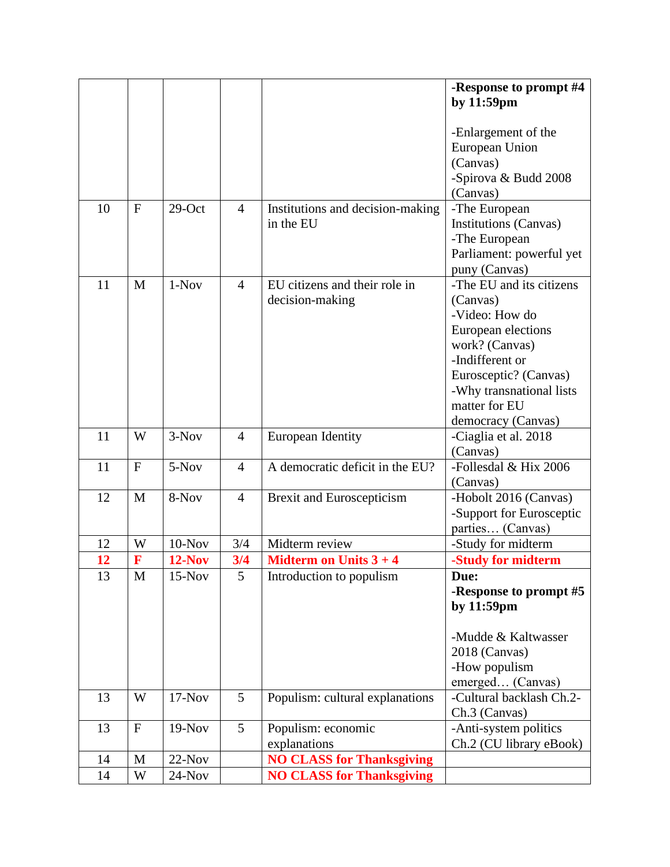|    |              |           |                |                                            | -Response to prompt #4               |
|----|--------------|-----------|----------------|--------------------------------------------|--------------------------------------|
|    |              |           |                |                                            | by 11:59pm                           |
|    |              |           |                |                                            |                                      |
|    |              |           |                |                                            | -Enlargement of the                  |
|    |              |           |                |                                            | European Union                       |
|    |              |           |                |                                            | (Canvas)                             |
|    |              |           |                |                                            | -Spirova & Budd 2008                 |
|    |              |           |                |                                            | (Canvas)                             |
| 10 | $\mathbf{F}$ | $29$ -Oct | $\overline{4}$ | Institutions and decision-making           | -The European                        |
|    |              |           |                | in the EU                                  | <b>Institutions (Canvas)</b>         |
|    |              |           |                |                                            | -The European                        |
|    |              |           |                |                                            | Parliament: powerful yet             |
|    |              | 1-Nov     | $\overline{4}$ | EU citizens and their role in              | puny (Canvas)                        |
| 11 | M            |           |                |                                            | -The EU and its citizens             |
|    |              |           |                | decision-making                            | (Canvas)<br>-Video: How do           |
|    |              |           |                |                                            |                                      |
|    |              |           |                |                                            | European elections<br>work? (Canvas) |
|    |              |           |                |                                            | -Indifferent or                      |
|    |              |           |                |                                            | Eurosceptic? (Canvas)                |
|    |              |           |                |                                            | -Why transnational lists             |
|    |              |           |                |                                            | matter for EU                        |
|    |              |           |                |                                            | democracy (Canvas)                   |
| 11 | W            | $3-Nov$   | $\overline{4}$ | <b>European Identity</b>                   | -Ciaglia et al. 2018                 |
|    |              |           |                |                                            | (Canvas)                             |
| 11 | ${\bf F}$    | 5-Nov     | $\overline{4}$ | A democratic deficit in the EU?            | -Follesdal & Hix 2006                |
|    |              |           |                |                                            | (Canvas)                             |
| 12 | M            | 8-Nov     | $\overline{4}$ | <b>Brexit and Euroscepticism</b>           | -Hobolt 2016 (Canvas)                |
|    |              |           |                |                                            | -Support for Eurosceptic             |
|    |              |           |                |                                            | parties (Canvas)                     |
| 12 | W            | $10-Nov$  | 3/4            | Midterm review                             | -Study for midterm                   |
| 12 | F            | $12-Nov$  | 3/4            | <b>Midterm on Units <math>3 + 4</math></b> | -Study for midterm                   |
| 13 | M            | $15-Nov$  | 5              | Introduction to populism                   | Due:                                 |
|    |              |           |                |                                            | -Response to prompt #5               |
|    |              |           |                |                                            | by 11:59pm                           |
|    |              |           |                |                                            | -Mudde & Kaltwasser                  |
|    |              |           |                |                                            |                                      |
|    |              |           |                |                                            | 2018 (Canvas)                        |
|    |              |           |                |                                            | -How populism<br>emerged (Canvas)    |
| 13 | W            | $17-Nov$  | 5              | Populism: cultural explanations            | -Cultural backlash Ch.2-             |
|    |              |           |                |                                            | Ch.3 (Canvas)                        |
| 13 | ${\bf F}$    | $19-Nov$  | 5              | Populism: economic                         | -Anti-system politics                |
|    |              |           |                | explanations                               | Ch.2 (CU library eBook)              |
| 14 | $\mathbf M$  | $22-Nov$  |                | <b>NO CLASS for Thanksgiving</b>           |                                      |
| 14 | W            | $24-Nov$  |                | <b>NO CLASS for Thanksgiving</b>           |                                      |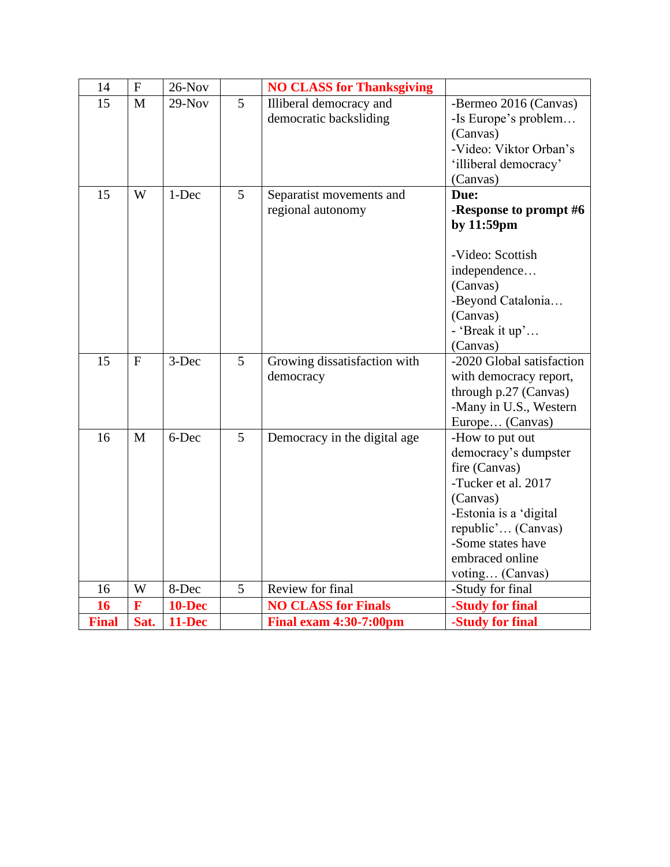| 14           | ${\bf F}$    | $26$ -Nov     |                | <b>NO CLASS for Thanksgiving</b> |                                         |
|--------------|--------------|---------------|----------------|----------------------------------|-----------------------------------------|
| 15           | $\mathbf{M}$ | $29-Nov$      | 5              | Illiberal democracy and          | -Bermeo 2016 (Canvas)                   |
|              |              |               |                | democratic backsliding           | -Is Europe's problem                    |
|              |              |               |                |                                  | (Canvas)                                |
|              |              |               |                |                                  | -Video: Viktor Orban's                  |
|              |              |               |                |                                  | 'illiberal democracy'                   |
|              |              |               |                |                                  | (Canvas)                                |
| 15           | W            | 1-Dec         | 5              | Separatist movements and         | Due:                                    |
|              |              |               |                | regional autonomy                | -Response to prompt #6                  |
|              |              |               |                |                                  | by 11:59pm                              |
|              |              |               |                |                                  |                                         |
|              |              |               |                |                                  | -Video: Scottish                        |
|              |              |               |                |                                  | independence                            |
|              |              |               |                |                                  | (Canvas)                                |
|              |              |               |                |                                  | -Beyond Catalonia                       |
|              |              |               |                |                                  | (Canvas)                                |
|              |              |               |                |                                  | - 'Break it up'                         |
|              |              |               |                |                                  | (Canvas)                                |
| 15           | F            | 3-Dec         | $\overline{5}$ | Growing dissatisfaction with     | -2020 Global satisfaction               |
|              |              |               |                | democracy                        | with democracy report,                  |
|              |              |               |                |                                  | through p.27 (Canvas)                   |
|              |              |               |                |                                  | -Many in U.S., Western                  |
|              |              |               |                |                                  | Europe (Canvas)                         |
| 16           | M            | 6-Dec         | 5              | Democracy in the digital age     | -How to put out                         |
|              |              |               |                |                                  | democracy's dumpster                    |
|              |              |               |                |                                  | fire (Canvas)                           |
|              |              |               |                |                                  | -Tucker et al. 2017                     |
|              |              |               |                |                                  | (Canvas)                                |
|              |              |               |                |                                  | -Estonia is a 'digital                  |
|              |              |               |                |                                  | republic' (Canvas)<br>-Some states have |
|              |              |               |                |                                  | embraced online                         |
|              |              |               |                |                                  |                                         |
| 16           | W            | 8-Dec         | 5              | Review for final                 | voting (Canvas)<br>-Study for final     |
| 16           | F            | <b>10-Dec</b> |                | <b>NO CLASS for Finals</b>       | -Study for final                        |
| <b>Final</b> | Sat.         | 11-Dec        |                | <b>Final exam 4:30-7:00pm</b>    | -Study for final                        |
|              |              |               |                |                                  |                                         |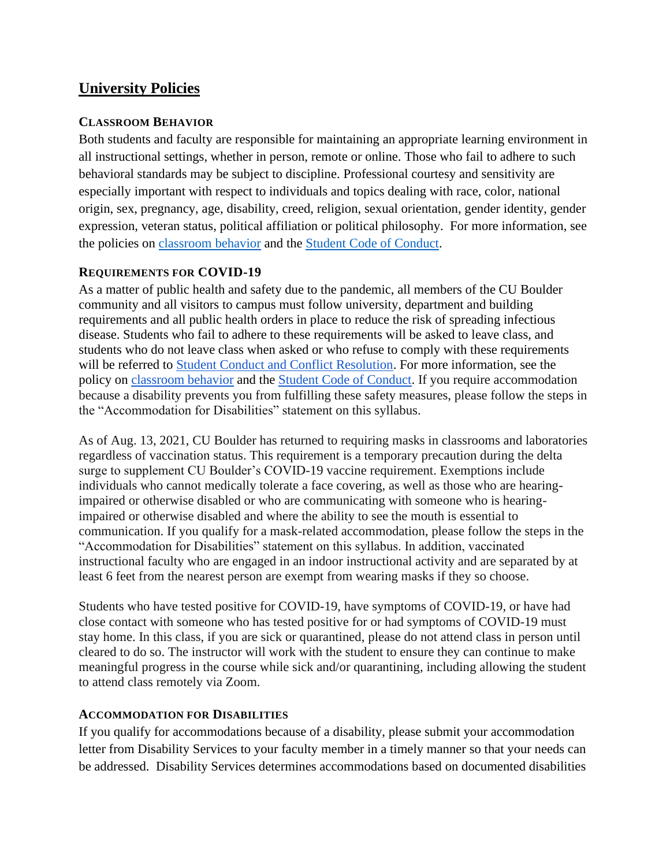## **University Policies**

#### **CLASSROOM BEHAVIOR**

Both students and faculty are responsible for maintaining an appropriate learning environment in all instructional settings, whether in person, remote or online. Those who fail to adhere to such behavioral standards may be subject to discipline. Professional courtesy and sensitivity are especially important with respect to individuals and topics dealing with race, color, national origin, sex, pregnancy, age, disability, creed, religion, sexual orientation, gender identity, gender expression, veteran status, political affiliation or political philosophy. For more information, see the policies on [classroom behavior](http://www.colorado.edu/policies/student-classroom-and-course-related-behavior) and the [Student Code of Conduct.](https://www.colorado.edu/sccr/sites/default/files/attached-files/2020-2021_student_code_of_conduct_0.pdf)

#### **REQUIREMENTS FOR COVID-19**

As a matter of public health and safety due to the pandemic, all members of the CU Boulder community and all visitors to campus must follow university, department and building requirements and all public health orders in place to reduce the risk of spreading infectious disease. Students who fail to adhere to these requirements will be asked to leave class, and students who do not leave class when asked or who refuse to comply with these requirements will be referred to [Student Conduct and Conflict Resolution.](https://www.colorado.edu/sccr/) For more information, see the policy o[n](https://www.colorado.edu/policies/covid-19-health-and-safety-policy) [classroom behavior](http://www.colorado.edu/policies/student-classroom-and-course-related-behavior) and th[e](http://www.colorado.edu/osccr/) [Student Code of Conduct.](http://www.colorado.edu/osccr/) If you require accommodation because a disability prevents you from fulfilling these safety measures, please follow the steps in the "Accommodation for Disabilities" statement on this syllabus.

As of Aug. 13, 2021, CU Boulder has returned to requiring masks in classrooms and laboratories regardless of vaccination status. This requirement is a temporary precaution during the delta surge to supplement CU Boulder's COVID-19 vaccine requirement. Exemptions include individuals who cannot medically tolerate a face covering, as well as those who are hearingimpaired or otherwise disabled or who are communicating with someone who is hearingimpaired or otherwise disabled and where the ability to see the mouth is essential to communication. If you qualify for a mask-related accommodation, please follow the steps in the "Accommodation for Disabilities" statement on this syllabus. In addition, vaccinated instructional faculty who are engaged in an indoor instructional activity and are separated by at least 6 feet from the nearest person are exempt from wearing masks if they so choose.

Students who have tested positive for COVID-19, have symptoms of COVID-19, or have had close contact with someone who has tested positive for or had symptoms of COVID-19 must stay home. In this class, if you are sick or quarantined, please do not attend class in person until cleared to do so. The instructor will work with the student to ensure they can continue to make meaningful progress in the course while sick and/or quarantining, including allowing the student to attend class remotely via Zoom.

#### **ACCOMMODATION FOR DISABILITIES**

If you qualify for accommodations because of a disability, please submit your accommodation letter from Disability Services to your faculty member in a timely manner so that your needs can be addressed. Disability Services determines accommodations based on documented disabilities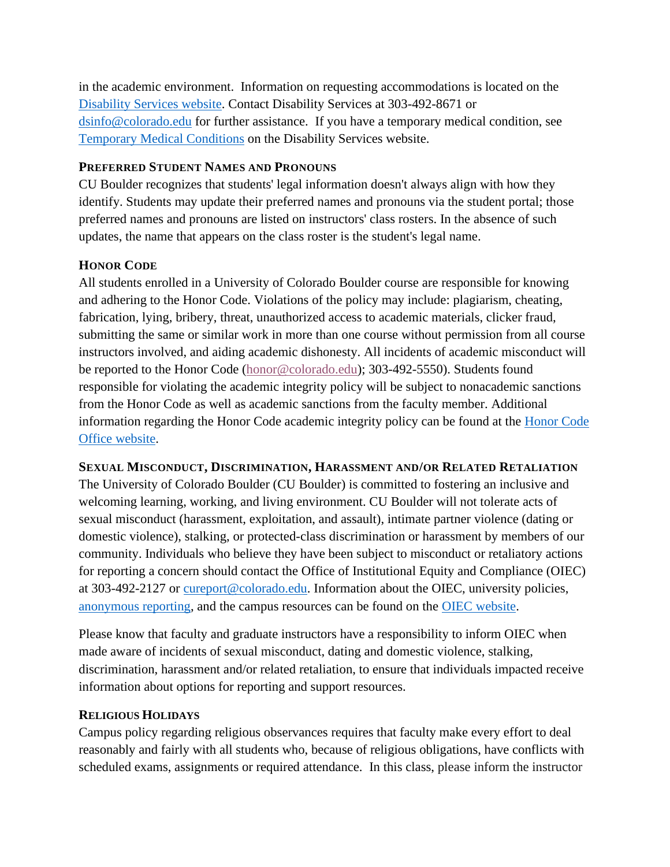in the academic environment. Information on requesting accommodations is located on the [Disability Services website.](https://www.colorado.edu/disabilityservices/) Contact Disability Services at 303-492-8671 or [dsinfo@colorado.edu](mailto:dsinfo@colorado.edu) for further assistance. If you have a temporary medical condition, see [Temporary Medical Conditions](http://www.colorado.edu/disabilityservices/students/temporary-medical-conditions) on the Disability Services website.

#### **PREFERRED STUDENT NAMES AND PRONOUNS**

CU Boulder recognizes that students' legal information doesn't always align with how they identify. Students may update their preferred names and pronouns via the student portal; those preferred names and pronouns are listed on instructors' class rosters. In the absence of such updates, the name that appears on the class roster is the student's legal name.

#### **HONOR CODE**

All students enrolled in a University of Colorado Boulder course are responsible for knowing and adhering to the Honor Code. Violations of the policy may include: plagiarism, cheating, fabrication, lying, bribery, threat, unauthorized access to academic materials, clicker fraud, submitting the same or similar work in more than one course without permission from all course instructors involved, and aiding academic dishonesty. All incidents of academic misconduct will be reported to the Honor Code [\(honor@colorado.edu\)](mailto:honor@colorado.edu); 303-492-5550). Students found responsible for violating the academic integrity policy will be subject to nonacademic sanctions from the Honor Code as well as academic sanctions from the faculty member. Additional information regarding the Honor Code academic integrity policy can be found at the [Honor Code](https://www.colorado.edu/osccr/honor-code)  [Office website.](https://www.colorado.edu/osccr/honor-code)

**SEXUAL MISCONDUCT, DISCRIMINATION, HARASSMENT AND/OR RELATED RETALIATION**

The University of Colorado Boulder (CU Boulder) is committed to fostering an inclusive and welcoming learning, working, and living environment. CU Boulder will not tolerate acts of sexual misconduct (harassment, exploitation, and assault), intimate partner violence (dating or domestic violence), stalking, or protected-class discrimination or harassment by members of our community. Individuals who believe they have been subject to misconduct or retaliatory actions for reporting a concern should contact the Office of Institutional Equity and Compliance (OIEC) at 303-492-2127 or [cureport@colorado.edu.](mailto:cureport@colorado.edu) Information about the OIEC, university policies, [anonymous reporting,](https://cuboulder.qualtrics.com/jfe/form/SV_0PnqVK4kkIJIZnf) and the campus resources can be found on the [OIEC website.](http://www.colorado.edu/institutionalequity/)

Please know that faculty and graduate instructors have a responsibility to inform OIEC when made aware of incidents of sexual misconduct, dating and domestic violence, stalking, discrimination, harassment and/or related retaliation, to ensure that individuals impacted receive information about options for reporting and support resources.

#### **RELIGIOUS HOLIDAYS**

Campus policy regarding religious observances requires that faculty make every effort to deal reasonably and fairly with all students who, because of religious obligations, have conflicts with scheduled exams, assignments or required attendance. In this class, please inform the instructor